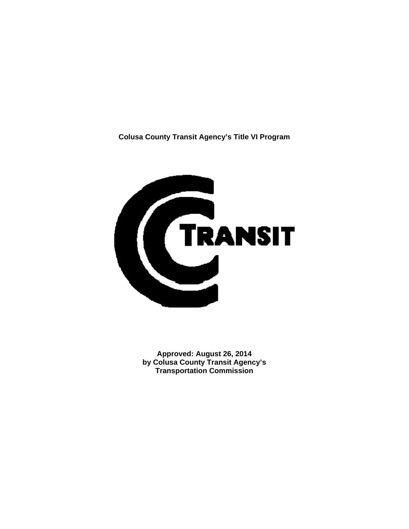**Colusa County Transit Agency's Title VI Program** 



**Approved: August 26, 2014 by Colusa County Transit Agency's Transportation Commission**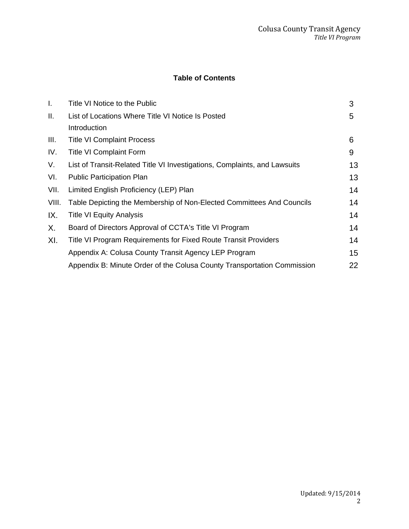# **Table of Contents**

| I.    | Title VI Notice to the Public                                             | 3  |
|-------|---------------------------------------------------------------------------|----|
| Ⅱ.    | List of Locations Where Title VI Notice Is Posted                         | 5  |
|       | Introduction                                                              |    |
| III.  | <b>Title VI Complaint Process</b>                                         | 6  |
| IV.   | <b>Title VI Complaint Form</b>                                            | 9  |
| V.    | List of Transit-Related Title VI Investigations, Complaints, and Lawsuits | 13 |
| VI.   | <b>Public Participation Plan</b>                                          | 13 |
| VII.  | Limited English Proficiency (LEP) Plan                                    | 14 |
| VIII. | Table Depicting the Membership of Non-Elected Committees And Councils     | 14 |
| IX.   | <b>Title VI Equity Analysis</b>                                           | 14 |
| Х.    | Board of Directors Approval of CCTA's Title VI Program                    | 14 |
| XI.   | Title VI Program Requirements for Fixed Route Transit Providers           | 14 |
|       | Appendix A: Colusa County Transit Agency LEP Program                      | 15 |
|       | Appendix B: Minute Order of the Colusa County Transportation Commission   | 22 |
|       |                                                                           |    |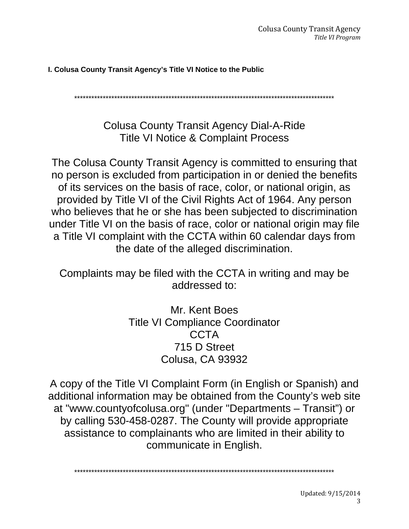## **I. Colusa County Transit Agency's Title VI Notice to the Public**

\*\*\*\*\*\*\*\*\*\*\*\*\*\*\*\*\*\*\*\*\*\*\*\*\*\*\*\*\*\*\*\*\*\*\*\*\*\*\*\*\*\*\*\*\*\*\*\*\*\*\*\*\*\*\*\*\*\*\*\*\*\*\*\*\*\*\*\*\*\*\*\*\*\*\*\*\*\*\*\*\*\*\*\*\*\*\*\*\*\*\*

Colusa County Transit Agency Dial-A-Ride Title VI Notice & Complaint Process

The Colusa County Transit Agency is committed to ensuring that no person is excluded from participation in or denied the benefits of its services on the basis of race, color, or national origin, as provided by Title VI of the Civil Rights Act of 1964. Any person who believes that he or she has been subjected to discrimination under Title VI on the basis of race, color or national origin may file a Title VI complaint with the CCTA within 60 calendar days from the date of the alleged discrimination.

Complaints may be filed with the CCTA in writing and may be addressed to:

> Mr. Kent Boes Title VI Compliance Coordinator CCTA 715 D Street Colusa, CA 93932

A copy of the Title VI Complaint Form (in English or Spanish) and additional information may be obtained from the County's web site at "www.countyofcolusa.org" (under "Departments – Transit") or by calling 530-458-0287. The County will provide appropriate assistance to complainants who are limited in their ability to communicate in English.

\*\*\*\*\*\*\*\*\*\*\*\*\*\*\*\*\*\*\*\*\*\*\*\*\*\*\*\*\*\*\*\*\*\*\*\*\*\*\*\*\*\*\*\*\*\*\*\*\*\*\*\*\*\*\*\*\*\*\*\*\*\*\*\*\*\*\*\*\*\*\*\*\*\*\*\*\*\*\*\*\*\*\*\*\*\*\*\*\*\*\*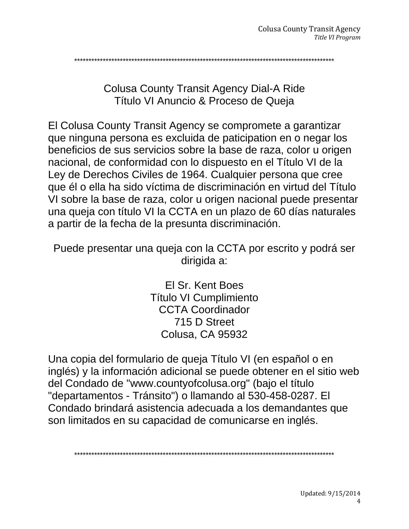\*\*\*\*\*\*\*\*\*\*\*\*\*\*\*\*\*\*\*\*\*\*\*\*\*\*\*\*\*\*\*\*\*\*\*\*\*\*\*\*\*\*\*\*\*\*\*\*\*\*\*\*\*\*\*\*\*\*\*\*\*\*\*\*\*\*\*\*\*\*\*\*\*\*\*\*\*\*\*\*\*\*\*\*\*\*\*\*\*\*\*

Colusa County Transit Agency Dial-A Ride Título VI Anuncio & Proceso de Queja

El Colusa County Transit Agency se compromete a garantizar que ninguna persona es excluida de paticipation en o negar los beneficios de sus servicios sobre la base de raza, color u origen nacional, de conformidad con lo dispuesto en el Título VI de la Ley de Derechos Civiles de 1964. Cualquier persona que cree que él o ella ha sido víctima de discriminación en virtud del Título VI sobre la base de raza, color u origen nacional puede presentar una queja con título VI la CCTA en un plazo de 60 días naturales a partir de la fecha de la presunta discriminación.

Puede presentar una queja con la CCTA por escrito y podrá ser dirigida a:

> El Sr. Kent Boes Título VI Cumplimiento CCTA Coordinador 715 D Street Colusa, CA 95932

Una copia del formulario de queja Título VI (en español o en inglés) y la información adicional se puede obtener en el sitio web del Condado de "www.countyofcolusa.org" (bajo el título "departamentos - Tránsito") o llamando al 530-458-0287. El Condado brindará asistencia adecuada a los demandantes que son limitados en su capacidad de comunicarse en inglés.

\*\*\*\*\*\*\*\*\*\*\*\*\*\*\*\*\*\*\*\*\*\*\*\*\*\*\*\*\*\*\*\*\*\*\*\*\*\*\*\*\*\*\*\*\*\*\*\*\*\*\*\*\*\*\*\*\*\*\*\*\*\*\*\*\*\*\*\*\*\*\*\*\*\*\*\*\*\*\*\*\*\*\*\*\*\*\*\*\*\*\*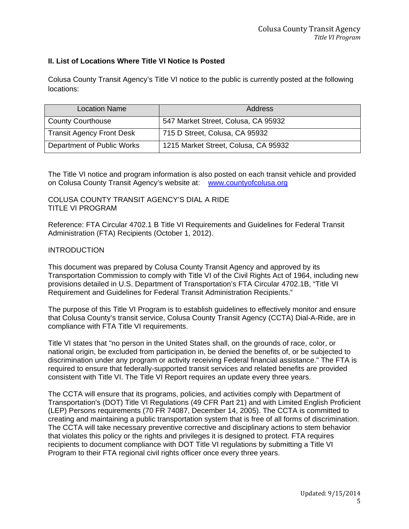#### **II. List of Locations Where Title VI Notice Is Posted**

Colusa County Transit Agency's Title VI notice to the public is currently posted at the following locations:

| <b>Location Name</b>             | Address                              |
|----------------------------------|--------------------------------------|
| <b>County Courthouse</b>         | 547 Market Street, Colusa, CA 95932  |
| <b>Transit Agency Front Desk</b> | 715 D Street, Colusa, CA 95932       |
| Department of Public Works       | 1215 Market Street, Colusa, CA 95932 |

The Title VI notice and program information is also posted on each transit vehicle and provided on Colusa County Transit Agency's website at: www.countyofcolusa.org

COLUSA COUNTY TRANSIT AGENCY'S DIAL A RIDE TITLE VI PROGRAM

Reference: FTA Circular 4702.1 B Title VI Requirements and Guidelines for Federal Transit Administration (FTA) Recipients (October 1, 2012).

#### INTRODUCTION

This document was prepared by Colusa County Transit Agency and approved by its Transportation Commission to comply with Title VI of the Civil Rights Act of 1964, including new provisions detailed in U.S. Department of Transportation's FTA Circular 4702.1B, "Title VI Requirement and Guidelines for Federal Transit Administration Recipients."

The purpose of this Title VI Program is to establish guidelines to effectively monitor and ensure that Colusa County's transit service, Colusa County Transit Agency (CCTA) Dial-A-Ride, are in compliance with FTA Title VI requirements.

Title VI states that "no person in the United States shall, on the grounds of race, color, or national origin, be excluded from participation in, be denied the benefits of, or be subjected to discrimination under any program or activity receiving Federal financial assistance." The FTA is required to ensure that federally-supported transit services and related benefits are provided consistent with Title VI. The Title VI Report requires an update every three years.

The CCTA will ensure that its programs, policies, and activities comply with Department of Transportation's (DOT) Title VI Regulations (49 CFR Part 21) and with Limited English Proficient (LEP) Persons requirements (70 FR 74087, December 14, 2005). The CCTA is committed to creating and maintaining a public transportation system that is free of all forms of discrimination. The CCTA will take necessary preventive corrective and disciplinary actions to stem behavior that violates this policy or the rights and privileges it is designed to protect. FTA requires recipients to document compliance with DOT Title VI regulations by submitting a Title VI Program to their FTA regional civil rights officer once every three years.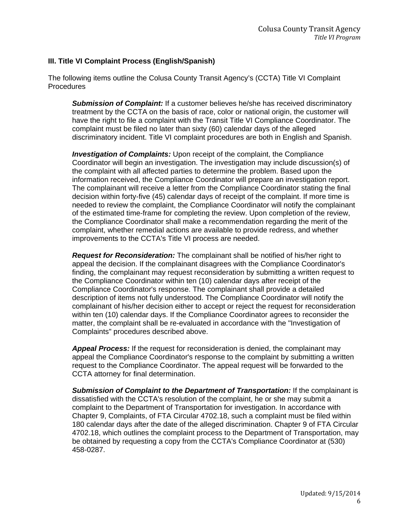### **III. Title VI Complaint Process (English/Spanish)**

The following items outline the Colusa County Transit Agency's (CCTA) Title VI Complaint Procedures

*Submission of Complaint:* If a customer believes he/she has received discriminatory treatment by the CCTA on the basis of race, color or national origin, the customer will have the right to file a complaint with the Transit Title VI Compliance Coordinator. The complaint must be filed no later than sixty (60) calendar days of the alleged discriminatory incident. Title VI complaint procedures are both in English and Spanish.

**Investigation of Complaints:** Upon receipt of the complaint, the Compliance Coordinator will begin an investigation. The investigation may include discussion(s) of the complaint with all affected parties to determine the problem. Based upon the information received, the Compliance Coordinator will prepare an investigation report. The complainant will receive a letter from the Compliance Coordinator stating the final decision within forty-five (45) calendar days of receipt of the complaint. If more time is needed to review the complaint, the Compliance Coordinator will notify the complainant of the estimated time-frame for completing the review. Upon completion of the review, the Compliance Coordinator shall make a recommendation regarding the merit of the complaint, whether remedial actions are available to provide redress, and whether improvements to the CCTA's Title VI process are needed.

*Request for Reconsideration:* The complainant shall be notified of his/her right to appeal the decision. If the complainant disagrees with the Compliance Coordinator's finding, the complainant may request reconsideration by submitting a written request to the Compliance Coordinator within ten (10) calendar days after receipt of the Compliance Coordinator's response. The complainant shall provide a detailed description of items not fully understood. The Compliance Coordinator will notify the complainant of his/her decision either to accept or reject the request for reconsideration within ten (10) calendar days. If the Compliance Coordinator agrees to reconsider the matter, the complaint shall be re-evaluated in accordance with the "Investigation of Complaints" procedures described above.

*Appeal Process:* If the request for reconsideration is denied, the complainant may appeal the Compliance Coordinator's response to the complaint by submitting a written request to the Compliance Coordinator. The appeal request will be forwarded to the CCTA attorney for final determination.

*Submission of Complaint to the Department of Transportation:* If the complainant is dissatisfied with the CCTA's resolution of the complaint, he or she may submit a complaint to the Department of Transportation for investigation. In accordance with Chapter 9, Complaints, of FTA Circular 4702.18, such a complaint must be filed within 180 calendar days after the date of the alleged discrimination. Chapter 9 of FTA Circular 4702.18, which outlines the complaint process to the Department of Transportation, may be obtained by requesting a copy from the CCTA's Compliance Coordinator at (530) 458-0287.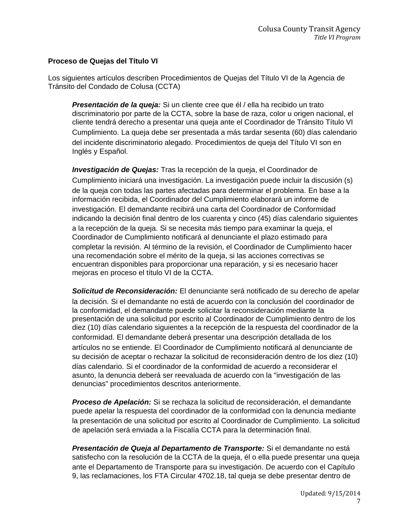#### **Proceso de Quejas del Título VI**

Los siguientes artículos describen Procedimientos de Quejas del Título VI de la Agencia de Tránsito del Condado de Colusa (CCTA)

*Presentación de la queja:* Si un cliente cree que él / ella ha recibido un trato discriminatorio por parte de la CCTA, sobre la base de raza, color u origen nacional, el cliente tendrá derecho a presentar una queja ante el Coordinador de Tránsito Título VI Cumplimiento. La queja debe ser presentada a más tardar sesenta (60) días calendario del incidente discriminatorio alegado. Procedimientos de queja del Título VI son en Inglés y Español.

*Investigación de Quejas:* Tras la recepción de la queja, el Coordinador de Cumplimiento iniciará una investigación. La investigación puede incluir la discusión (s) de la queja con todas las partes afectadas para determinar el problema. En base a la información recibida, el Coordinador del Cumplimiento elaborará un informe de investigación. El demandante recibirá una carta del Coordinador de Conformidad indicando la decisión final dentro de los cuarenta y cinco (45) días calendario siguientes a la recepción de la queja. Si se necesita más tiempo para examinar la queja, el Coordinador de Cumplimiento notificará al denunciante el plazo estimado para completar la revisión. Al término de la revisión, el Coordinador de Cumplimiento hacer una recomendación sobre el mérito de la queja, si las acciones correctivas se encuentran disponibles para proporcionar una reparación, y si es necesario hacer mejoras en proceso el título VI de la CCTA.

*Solicitud de Reconsideración:* El denunciante será notificado de su derecho de apelar la decisión. Si el demandante no está de acuerdo con la conclusión del coordinador de la conformidad, el demandante puede solicitar la reconsideración mediante la presentación de una solicitud por escrito al Coordinador de Cumplimiento dentro de los diez (10) días calendario siguientes a la recepción de la respuesta del coordinador de la conformidad. El demandante deberá presentar una descripción detallada de los artículos no se entiende. El Coordinador de Cumplimiento notificará al denunciante de su decisión de aceptar o rechazar la solicitud de reconsideración dentro de los diez (10) días calendario. Si el coordinador de la conformidad de acuerdo a reconsiderar el asunto, la denuncia deberá ser reevaluada de acuerdo con la "investigación de las denuncias" procedimientos descritos anteriormente.

*Proceso de Apelación:* Si se rechaza la solicitud de reconsideración, el demandante puede apelar la respuesta del coordinador de la conformidad con la denuncia mediante la presentación de una solicitud por escrito al Coordinador de Cumplimiento. La solicitud de apelación será enviada a la Fiscalía CCTA para la determinación final.

*Presentación de Queja al Departamento de Transporte:* Si el demandante no está satisfecho con la resolución de la CCTA de la queja, él o ella puede presentar una queja ante el Departamento de Transporte para su investigación. De acuerdo con el Capítulo 9, las reclamaciones, los FTA Circular 4702.18, tal queja se debe presentar dentro de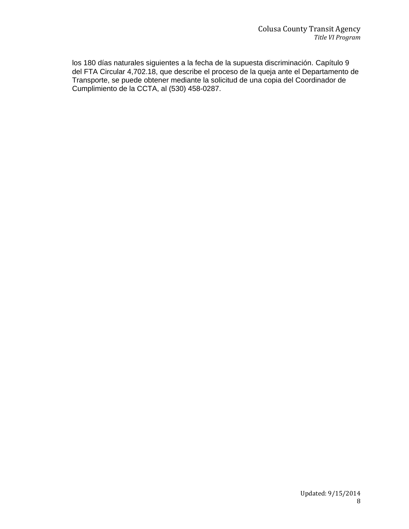los 180 días naturales siguientes a la fecha de la supuesta discriminación. Capítulo 9 del FTA Circular 4,702.18, que describe el proceso de la queja ante el Departamento de Transporte, se puede obtener mediante la solicitud de una copia del Coordinador de Cumplimiento de la CCTA, al (530) 458-0287.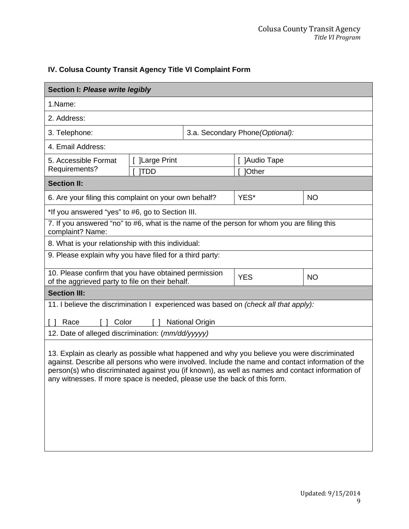# **IV. Colusa County Transit Agency Title VI Complaint Form**

| Section I: Please write legibly                                                                                                                                                                                                                                                                                                                                                 |                               |  |                                  |           |  |  |
|---------------------------------------------------------------------------------------------------------------------------------------------------------------------------------------------------------------------------------------------------------------------------------------------------------------------------------------------------------------------------------|-------------------------------|--|----------------------------------|-----------|--|--|
| 1.Name:                                                                                                                                                                                                                                                                                                                                                                         |                               |  |                                  |           |  |  |
| 2. Address:                                                                                                                                                                                                                                                                                                                                                                     |                               |  |                                  |           |  |  |
| 3. Telephone:                                                                                                                                                                                                                                                                                                                                                                   |                               |  | 3.a. Secondary Phone (Optional): |           |  |  |
| 4. Email Address:                                                                                                                                                                                                                                                                                                                                                               |                               |  |                                  |           |  |  |
| 5. Accessible Format<br>Requirements?                                                                                                                                                                                                                                                                                                                                           | [ ]Large Print<br><b>ITDD</b> |  | [ ]Audio Tape<br><b>]Other</b>   |           |  |  |
| <b>Section II:</b>                                                                                                                                                                                                                                                                                                                                                              |                               |  |                                  |           |  |  |
| 6. Are your filing this complaint on your own behalf?                                                                                                                                                                                                                                                                                                                           |                               |  | YES*                             | <b>NO</b> |  |  |
| *If you answered "yes" to #6, go to Section III.                                                                                                                                                                                                                                                                                                                                |                               |  |                                  |           |  |  |
| 7. If you answered "no" to #6, what is the name of the person for whom you are filing this<br>complaint? Name:                                                                                                                                                                                                                                                                  |                               |  |                                  |           |  |  |
| 8. What is your relationship with this individual:                                                                                                                                                                                                                                                                                                                              |                               |  |                                  |           |  |  |
| 9. Please explain why you have filed for a third party:                                                                                                                                                                                                                                                                                                                         |                               |  |                                  |           |  |  |
| 10. Please confirm that you have obtained permission<br><b>YES</b><br><b>NO</b><br>of the aggrieved party to file on their behalf.                                                                                                                                                                                                                                              |                               |  |                                  |           |  |  |
| <b>Section III:</b>                                                                                                                                                                                                                                                                                                                                                             |                               |  |                                  |           |  |  |
| 11. I believe the discrimination I experienced was based on (check all that apply):                                                                                                                                                                                                                                                                                             |                               |  |                                  |           |  |  |
| Color<br><b>National Origin</b><br>Race                                                                                                                                                                                                                                                                                                                                         |                               |  |                                  |           |  |  |
| 12. Date of alleged discrimination: (mm/dd/yyyyy)                                                                                                                                                                                                                                                                                                                               |                               |  |                                  |           |  |  |
| 13. Explain as clearly as possible what happened and why you believe you were discriminated<br>against. Describe all persons who were involved. Include the name and contact information of the<br>person(s) who discriminated against you (if known), as well as names and contact information of<br>any witnesses. If more space is needed, please use the back of this form. |                               |  |                                  |           |  |  |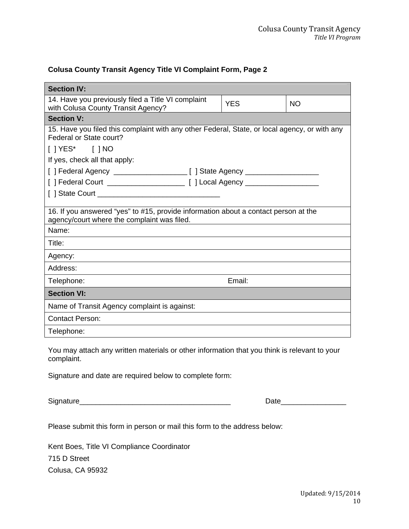## **Colusa County Transit Agency Title VI Complaint Form, Page 2**

| <b>Section IV:</b>                                                                                                                 |            |           |
|------------------------------------------------------------------------------------------------------------------------------------|------------|-----------|
| 14. Have you previously filed a Title VI complaint<br>with Colusa County Transit Agency?                                           | <b>YES</b> | <b>NO</b> |
| <b>Section V:</b>                                                                                                                  |            |           |
| 15. Have you filed this complaint with any other Federal, State, or local agency, or with any<br>Federal or State court?           |            |           |
| $[$ ] YES* $[$ ] NO                                                                                                                |            |           |
| If yes, check all that apply:                                                                                                      |            |           |
|                                                                                                                                    |            |           |
|                                                                                                                                    |            |           |
|                                                                                                                                    |            |           |
|                                                                                                                                    |            |           |
| 16. If you answered "yes" to #15, provide information about a contact person at the<br>agency/court where the complaint was filed. |            |           |
| Name:                                                                                                                              |            |           |
| Title:                                                                                                                             |            |           |
| Agency:                                                                                                                            |            |           |
| Address:                                                                                                                           |            |           |
| Telephone:                                                                                                                         | Email:     |           |
| <b>Section VI:</b>                                                                                                                 |            |           |
| Name of Transit Agency complaint is against:                                                                                       |            |           |
| <b>Contact Person:</b>                                                                                                             |            |           |
| Telephone:                                                                                                                         |            |           |

You may attach any written materials or other information that you think is relevant to your complaint.

Signature and date are required below to complete form:

Signature\_\_\_\_\_\_\_\_\_\_\_\_\_\_\_\_\_\_\_\_\_\_\_\_\_\_\_\_\_\_\_\_\_\_\_\_\_ Date\_\_\_\_\_\_\_\_\_\_\_\_\_\_\_\_

Please submit this form in person or mail this form to the address below:

Kent Boes, Title VI Compliance Coordinator 715 D Street Colusa, CA 95932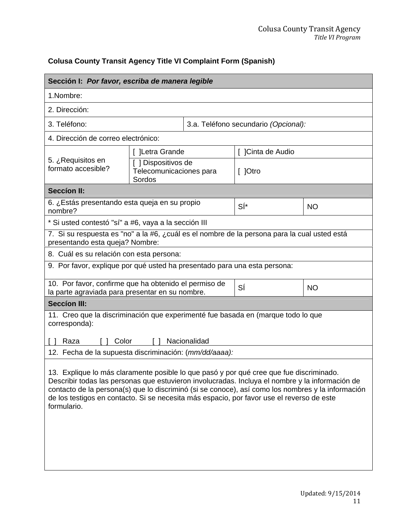# **Colusa County Transit Agency Title VI Complaint Form (Spanish)**

| Sección I: Por favor, escriba de manera legible                                                                                                                                                                                                                                                                                                                                                             |                                                          |  |                                      |           |  |  |
|-------------------------------------------------------------------------------------------------------------------------------------------------------------------------------------------------------------------------------------------------------------------------------------------------------------------------------------------------------------------------------------------------------------|----------------------------------------------------------|--|--------------------------------------|-----------|--|--|
| 1.Nombre:                                                                                                                                                                                                                                                                                                                                                                                                   |                                                          |  |                                      |           |  |  |
| 2. Dirección:                                                                                                                                                                                                                                                                                                                                                                                               |                                                          |  |                                      |           |  |  |
| 3. Teléfono:                                                                                                                                                                                                                                                                                                                                                                                                |                                                          |  | 3.a. Teléfono secundario (Opcional): |           |  |  |
| 4. Dirección de correo electrónico:                                                                                                                                                                                                                                                                                                                                                                         |                                                          |  |                                      |           |  |  |
|                                                                                                                                                                                                                                                                                                                                                                                                             | [ ]Letra Grande                                          |  | [ ]Cinta de Audio                    |           |  |  |
| 5. ¿Requisitos en<br>formato accesible?                                                                                                                                                                                                                                                                                                                                                                     | [ ] Dispositivos de<br>Telecomunicaciones para<br>Sordos |  | $\lceil$   Otro                      |           |  |  |
| <b>Seccion II:</b>                                                                                                                                                                                                                                                                                                                                                                                          |                                                          |  |                                      |           |  |  |
| 6. ¿Estás presentando esta queja en su propio<br>nombre?                                                                                                                                                                                                                                                                                                                                                    |                                                          |  | SÍ*                                  | <b>NO</b> |  |  |
| * Si usted contestó "sí" a #6, vaya a la sección III                                                                                                                                                                                                                                                                                                                                                        |                                                          |  |                                      |           |  |  |
| 7. Si su respuesta es "no" a la #6, ¿cuál es el nombre de la persona para la cual usted está<br>presentando esta queja? Nombre:                                                                                                                                                                                                                                                                             |                                                          |  |                                      |           |  |  |
| 8. Cuál es su relación con esta persona:                                                                                                                                                                                                                                                                                                                                                                    |                                                          |  |                                      |           |  |  |
| 9. Por favor, explique por qué usted ha presentado para una esta persona:                                                                                                                                                                                                                                                                                                                                   |                                                          |  |                                      |           |  |  |
| 10. Por favor, confirme que ha obtenido el permiso de<br>SÍ<br><b>NO</b><br>la parte agraviada para presentar en su nombre.                                                                                                                                                                                                                                                                                 |                                                          |  |                                      |           |  |  |
| <b>Seccion III:</b>                                                                                                                                                                                                                                                                                                                                                                                         |                                                          |  |                                      |           |  |  |
| 11. Creo que la discriminación que experimenté fue basada en (marque todo lo que<br>corresponda):                                                                                                                                                                                                                                                                                                           |                                                          |  |                                      |           |  |  |
| Nacionalidad<br>Color<br>Raza<br>12. Fecha de la supuesta discriminación: (mm/dd/aaaa):                                                                                                                                                                                                                                                                                                                     |                                                          |  |                                      |           |  |  |
| 13. Explique lo más claramente posible lo que pasó y por qué cree que fue discriminado.<br>Describir todas las personas que estuvieron involucradas. Incluya el nombre y la información de<br>contacto de la persona(s) que lo discriminó (si se conoce), así como los nombres y la información<br>de los testigos en contacto. Si se necesita más espacio, por favor use el reverso de este<br>formulario. |                                                          |  |                                      |           |  |  |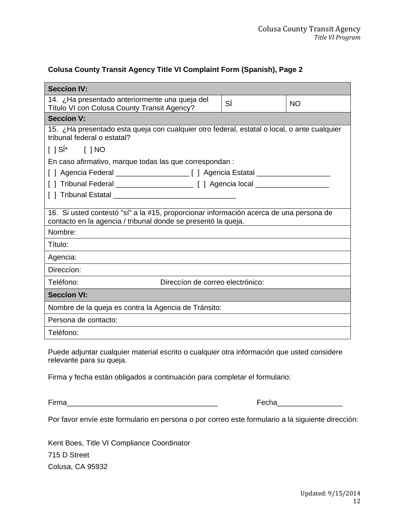## **Colusa County Transit Agency Title VI Complaint Form (Spanish), Page 2**

| <b>Seccíon IV:</b>                                                                                                                                                 |    |           |  |  |  |
|--------------------------------------------------------------------------------------------------------------------------------------------------------------------|----|-----------|--|--|--|
| 14. ¿Ha presentado anteriormente una queja del<br>Título VI con Colusa County Transit Agency?                                                                      | SÍ | <b>NO</b> |  |  |  |
| <b>Seccíon V:</b>                                                                                                                                                  |    |           |  |  |  |
| 15. ¿Ha presentado esta queja con cualquier otro federal, estatal o local, o ante cualquier<br>tribunal federal o estatal?                                         |    |           |  |  |  |
| $\left[\begin{array}{cc}  S ^{*} \\  P ^{*} \end{array}\right]$ $\left[\begin{array}{cc}  NO  \\  P ^{*} \end{array}\right]$                                       |    |           |  |  |  |
| En caso afirmativo, marque todas las que correspondan :                                                                                                            |    |           |  |  |  |
|                                                                                                                                                                    |    |           |  |  |  |
|                                                                                                                                                                    |    |           |  |  |  |
|                                                                                                                                                                    |    |           |  |  |  |
| 16. Si usted contestó "sí" a la #15, proporcionar información acerca de una persona de<br>contacto en la agencia / tribunal donde se presentó la queja.<br>Nombre: |    |           |  |  |  |
| Título:                                                                                                                                                            |    |           |  |  |  |
| Agencia:                                                                                                                                                           |    |           |  |  |  |
| Direccion:                                                                                                                                                         |    |           |  |  |  |
| Teléfono:<br>Direccion de correo electrónico:                                                                                                                      |    |           |  |  |  |
| <b>Seccíon VI:</b>                                                                                                                                                 |    |           |  |  |  |
| Nombre de la queja es contra la Agencia de Tránsito:                                                                                                               |    |           |  |  |  |
| Persona de contacto:                                                                                                                                               |    |           |  |  |  |
| Teléfono:                                                                                                                                                          |    |           |  |  |  |

Puede adjuntar cualquier material escrito o cualquier otra información que usted considere relevante para su queja.

Firma y fecha están obligados a continuación para completar el formulario:

Firma\_\_\_\_\_\_\_\_\_\_\_\_\_\_\_\_\_\_\_\_\_\_\_\_\_\_\_\_\_\_\_\_\_\_\_\_\_ Fecha\_\_\_\_\_\_\_\_\_\_\_\_\_\_\_\_

Por favor envíe este formulario en persona o por correo este formulario a la siguiente dirección:

Kent Boes, Title VI Compliance Coordinator 715 D Street Colusa, CA 95932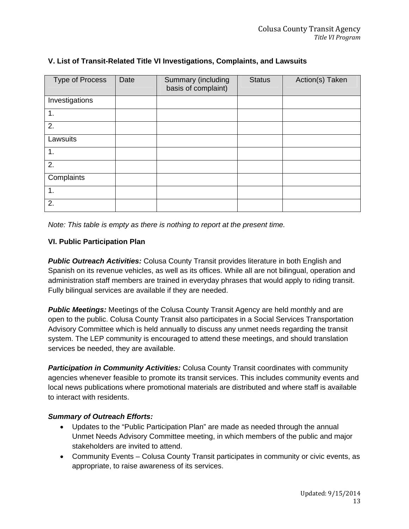| <b>Type of Process</b> | Date | Summary (including<br><b>Status</b><br>basis of complaint) |  | Action(s) Taken |
|------------------------|------|------------------------------------------------------------|--|-----------------|
| Investigations         |      |                                                            |  |                 |
| 1.                     |      |                                                            |  |                 |
| 2.                     |      |                                                            |  |                 |
| Lawsuits               |      |                                                            |  |                 |
| 1.                     |      |                                                            |  |                 |
| 2.                     |      |                                                            |  |                 |
| Complaints             |      |                                                            |  |                 |
| 1.                     |      |                                                            |  |                 |
| 2.                     |      |                                                            |  |                 |

## **V. List of Transit-Related Title VI Investigations, Complaints, and Lawsuits**

*Note: This table is empty as there is nothing to report at the present time.* 

#### **VI. Public Participation Plan**

**Public Outreach Activities:** Colusa County Transit provides literature in both English and Spanish on its revenue vehicles, as well as its offices. While all are not bilingual, operation and administration staff members are trained in everyday phrases that would apply to riding transit. Fully bilingual services are available if they are needed.

**Public Meetings:** Meetings of the Colusa County Transit Agency are held monthly and are open to the public. Colusa County Transit also participates in a Social Services Transportation Advisory Committee which is held annually to discuss any unmet needs regarding the transit system. The LEP community is encouraged to attend these meetings, and should translation services be needed, they are available.

*Participation in Community Activities:* Colusa County Transit coordinates with community agencies whenever feasible to promote its transit services. This includes community events and local news publications where promotional materials are distributed and where staff is available to interact with residents.

#### *Summary of Outreach Efforts:*

- Updates to the "Public Participation Plan" are made as needed through the annual Unmet Needs Advisory Committee meeting, in which members of the public and major stakeholders are invited to attend.
- Community Events Colusa County Transit participates in community or civic events, as appropriate, to raise awareness of its services.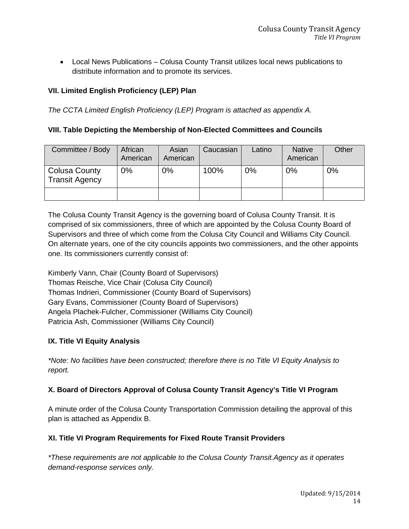Local News Publications – Colusa County Transit utilizes local news publications to distribute information and to promote its services.

## **VII. Limited English Proficiency (LEP) Plan**

*The CCTA Limited English Proficiency (LEP) Program is attached as appendix A.* 

### **VIII. Table Depicting the Membership of Non-Elected Committees and Councils**

| Committee / Body                              | African<br>American | Asian<br>American | Caucasian | Latino | <b>Native</b><br>American | Other |
|-----------------------------------------------|---------------------|-------------------|-----------|--------|---------------------------|-------|
| <b>Colusa County</b><br><b>Transit Agency</b> | $0\%$               | 0%                | 100%      | 0%     | $0\%$                     | 0%    |
|                                               |                     |                   |           |        |                           |       |

The Colusa County Transit Agency is the governing board of Colusa County Transit. It is comprised of six commissioners, three of which are appointed by the Colusa County Board of Supervisors and three of which come from the Colusa City Council and Williams City Council. On alternate years, one of the city councils appoints two commissioners, and the other appoints one. Its commissioners currently consist of:

Kimberly Vann, Chair (County Board of Supervisors) Thomas Reische, Vice Chair (Colusa City Council) Thomas Indrieri, Commissioner (County Board of Supervisors) Gary Evans, Commissioner (County Board of Supervisors) Angela Plachek-Fulcher, Commissioner (Williams City Council) Patricia Ash, Commissioner (Williams City Council)

## **IX. Title VI Equity Analysis**

*\*Note: No facilities have been constructed; therefore there is no Title VI Equity Analysis to report.* 

## **X. Board of Directors Approval of Colusa County Transit Agency's Title VI Program**

A minute order of the Colusa County Transportation Commission detailing the approval of this plan is attached as Appendix B.

## **XI. Title VI Program Requirements for Fixed Route Transit Providers**

*\*These requirements are not applicable to the Colusa County Transit.Agency as it operates demand-response services only.*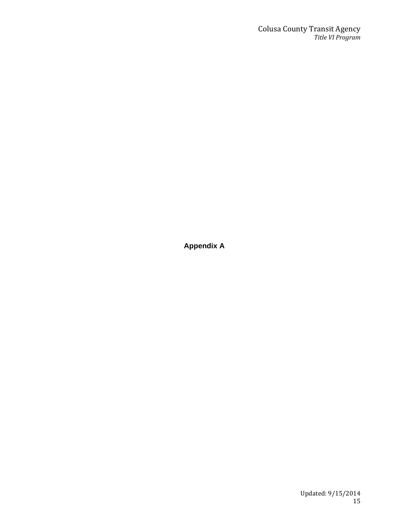#### **Colusa County Transit Agency** *Title VI Program*

**Appendix A**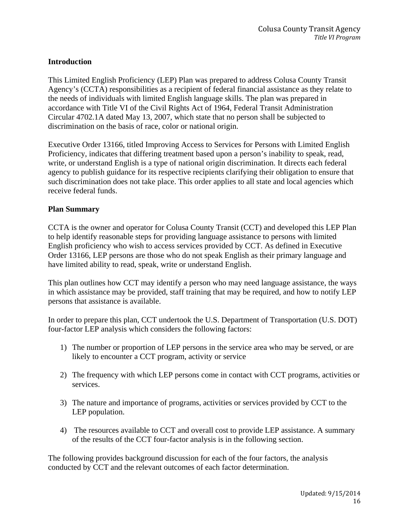## **Introduction**

This Limited English Proficiency (LEP) Plan was prepared to address Colusa County Transit Agency's (CCTA) responsibilities as a recipient of federal financial assistance as they relate to the needs of individuals with limited English language skills. The plan was prepared in accordance with Title VI of the Civil Rights Act of 1964, Federal Transit Administration Circular 4702.1A dated May 13, 2007, which state that no person shall be subjected to discrimination on the basis of race, color or national origin.

Executive Order 13166, titled Improving Access to Services for Persons with Limited English Proficiency, indicates that differing treatment based upon a person's inability to speak, read, write, or understand English is a type of national origin discrimination. It directs each federal agency to publish guidance for its respective recipients clarifying their obligation to ensure that such discrimination does not take place. This order applies to all state and local agencies which receive federal funds.

#### **Plan Summary**

CCTA is the owner and operator for Colusa County Transit (CCT) and developed this LEP Plan to help identify reasonable steps for providing language assistance to persons with limited English proficiency who wish to access services provided by CCT. As defined in Executive Order 13166, LEP persons are those who do not speak English as their primary language and have limited ability to read, speak, write or understand English.

This plan outlines how CCT may identify a person who may need language assistance, the ways in which assistance may be provided, staff training that may be required, and how to notify LEP persons that assistance is available.

In order to prepare this plan, CCT undertook the U.S. Department of Transportation (U.S. DOT) four-factor LEP analysis which considers the following factors:

- 1) The number or proportion of LEP persons in the service area who may be served, or are likely to encounter a CCT program, activity or service
- 2) The frequency with which LEP persons come in contact with CCT programs, activities or services.
- 3) The nature and importance of programs, activities or services provided by CCT to the LEP population.
- 4) The resources available to CCT and overall cost to provide LEP assistance. A summary of the results of the CCT four-factor analysis is in the following section.

The following provides background discussion for each of the four factors, the analysis conducted by CCT and the relevant outcomes of each factor determination.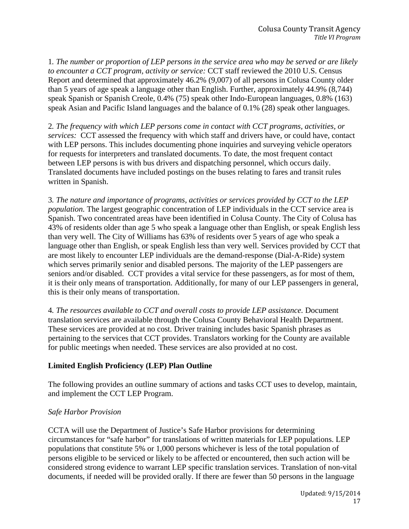1*. The number or proportion of LEP persons in the service area who may be served or are likely to encounter a CCT program, activity or service:* CCT staff reviewed the 2010 U.S. Census Report and determined that approximately 46.2% (9,007) of all persons in Colusa County older than 5 years of age speak a language other than English. Further, approximately 44.9% (8,744) speak Spanish or Spanish Creole, 0.4% (75) speak other Indo-European languages, 0.8% (163) speak Asian and Pacific Island languages and the balance of 0.1% (28) speak other languages.

2*. The frequency with which LEP persons come in contact with CCT programs, activities, or services:* CCT assessed the frequency with which staff and drivers have, or could have, contact with LEP persons. This includes documenting phone inquiries and surveying vehicle operators for requests for interpreters and translated documents. To date, the most frequent contact between LEP persons is with bus drivers and dispatching personnel, which occurs daily. Translated documents have included postings on the buses relating to fares and transit rules written in Spanish.

3*. The nature and importance of programs, activities or services provided by CCT to the LEP population.* The largest geographic concentration of LEP individuals in the CCT service area is Spanish. Two concentrated areas have been identified in Colusa County. The City of Colusa has 43% of residents older than age 5 who speak a language other than English, or speak English less than very well. The City of Williams has 63% of residents over 5 years of age who speak a language other than English, or speak English less than very well. Services provided by CCT that are most likely to encounter LEP individuals are the demand-response (Dial-A-Ride) system which serves primarily senior and disabled persons. The majority of the LEP passengers are seniors and/or disabled. CCT provides a vital service for these passengers, as for most of them, it is their only means of transportation. Additionally, for many of our LEP passengers in general, this is their only means of transportation.

4*. The resources available to CCT and overall costs to provide LEP assistance.* Document translation services are available through the Colusa County Behavioral Health Department. These services are provided at no cost. Driver training includes basic Spanish phrases as pertaining to the services that CCT provides. Translators working for the County are available for public meetings when needed. These services are also provided at no cost.

## **Limited English Proficiency (LEP) Plan Outline**

The following provides an outline summary of actions and tasks CCT uses to develop, maintain, and implement the CCT LEP Program.

## *Safe Harbor Provision*

CCTA will use the Department of Justice's Safe Harbor provisions for determining circumstances for "safe harbor" for translations of written materials for LEP populations. LEP populations that constitute 5% or 1,000 persons whichever is less of the total population of persons eligible to be serviced or likely to be affected or encountered, then such action will be considered strong evidence to warrant LEP specific translation services. Translation of non-vital documents, if needed will be provided orally. If there are fewer than 50 persons in the language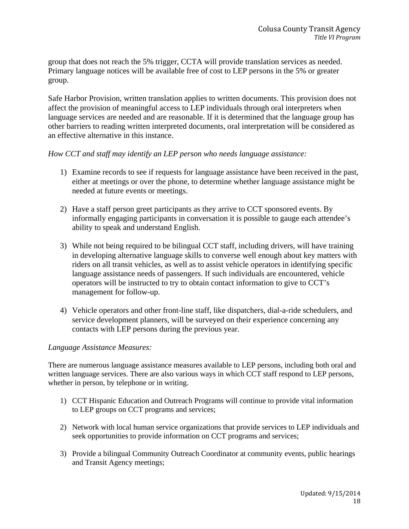group that does not reach the 5% trigger, CCTA will provide translation services as needed. Primary language notices will be available free of cost to LEP persons in the 5% or greater group.

Safe Harbor Provision, written translation applies to written documents. This provision does not affect the provision of meaningful access to LEP individuals through oral interpreters when language services are needed and are reasonable. If it is determined that the language group has other barriers to reading written interpreted documents, oral interpretation will be considered as an effective alternative in this instance.

#### *How CCT and staff may identify an LEP person who needs language assistance:*

- 1) Examine records to see if requests for language assistance have been received in the past, either at meetings or over the phone, to determine whether language assistance might be needed at future events or meetings.
- 2) Have a staff person greet participants as they arrive to CCT sponsored events. By informally engaging participants in conversation it is possible to gauge each attendee's ability to speak and understand English.
- 3) While not being required to be bilingual CCT staff, including drivers, will have training in developing alternative language skills to converse well enough about key matters with riders on all transit vehicles, as well as to assist vehicle operators in identifying specific language assistance needs of passengers. If such individuals are encountered, vehicle operators will be instructed to try to obtain contact information to give to CCT's management for follow-up.
- 4) Vehicle operators and other front-line staff, like dispatchers, dial-a-ride schedulers, and service development planners, will be surveyed on their experience concerning any contacts with LEP persons during the previous year.

#### *Language Assistance Measures:*

There are numerous language assistance measures available to LEP persons, including both oral and written language services. There are also various ways in which CCT staff respond to LEP persons, whether in person, by telephone or in writing.

- 1) CCT Hispanic Education and Outreach Programs will continue to provide vital information to LEP groups on CCT programs and services;
- 2) Network with local human service organizations that provide services to LEP individuals and seek opportunities to provide information on CCT programs and services;
- 3) Provide a bilingual Community Outreach Coordinator at community events, public hearings and Transit Agency meetings;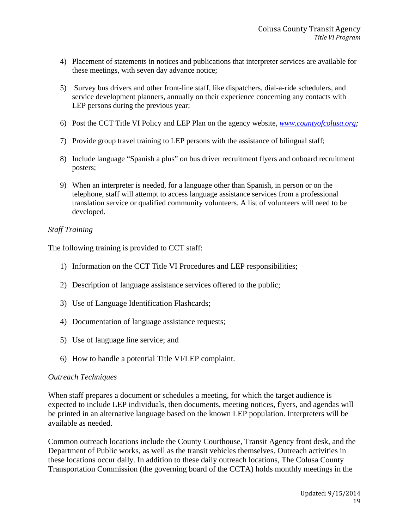- 4) Placement of statements in notices and publications that interpreter services are available for these meetings, with seven day advance notice;
- 5) Survey bus drivers and other front-line staff, like dispatchers, dial-a-ride schedulers, and service development planners, annually on their experience concerning any contacts with LEP persons during the previous year;
- 6) Post the CCT Title VI Policy and LEP Plan on the agency website, *[www.countyofcolusa.org;](http://www.countyofcolusa.org/)*
- 7) Provide group travel training to LEP persons with the assistance of bilingual staff;
- 8) Include language "Spanish a plus" on bus driver recruitment flyers and onboard recruitment posters;
- 9) When an interpreter is needed, for a language other than Spanish, in person or on the telephone, staff will attempt to access language assistance services from a professional translation service or qualified community volunteers. A list of volunteers will need to be developed.

#### *Staff Training*

The following training is provided to CCT staff:

- 1) Information on the CCT Title VI Procedures and LEP responsibilities;
- 2) Description of language assistance services offered to the public;
- 3) Use of Language Identification Flashcards;
- 4) Documentation of language assistance requests;
- 5) Use of language line service; and
- 6) How to handle a potential Title VI/LEP complaint.

#### *Outreach Techniques*

When staff prepares a document or schedules a meeting, for which the target audience is expected to include LEP individuals, then documents, meeting notices, flyers, and agendas will be printed in an alternative language based on the known LEP population. Interpreters will be available as needed.

Common outreach locations include the County Courthouse, Transit Agency front desk, and the Department of Public works, as well as the transit vehicles themselves. Outreach activities in these locations occur daily. In addition to these daily outreach locations, The Colusa County Transportation Commission (the governing board of the CCTA) holds monthly meetings in the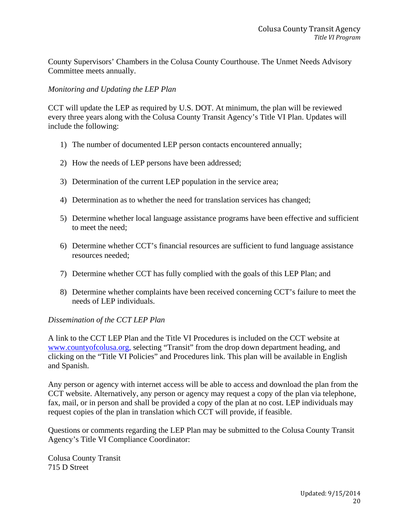County Supervisors' Chambers in the Colusa County Courthouse. The Unmet Needs Advisory Committee meets annually.

## *Monitoring and Updating the LEP Plan*

CCT will update the LEP as required by U.S. DOT. At minimum, the plan will be reviewed every three years along with the Colusa County Transit Agency's Title VI Plan. Updates will include the following:

- 1) The number of documented LEP person contacts encountered annually;
- 2) How the needs of LEP persons have been addressed;
- 3) Determination of the current LEP population in the service area;
- 4) Determination as to whether the need for translation services has changed;
- 5) Determine whether local language assistance programs have been effective and sufficient to meet the need;
- 6) Determine whether CCT's financial resources are sufficient to fund language assistance resources needed;
- 7) Determine whether CCT has fully complied with the goals of this LEP Plan; and
- 8) Determine whether complaints have been received concerning CCT's failure to meet the needs of LEP individuals.

## *Dissemination of the CCT LEP Plan*

A link to the CCT LEP Plan and the Title VI Procedures is included on the CCT website at [www.countyofcolusa.org](http://www.countyofcolusa.org/), selecting "Transit" from the drop down department heading, and clicking on the "Title VI Policies" and Procedures link. This plan will be available in English and Spanish.

Any person or agency with internet access will be able to access and download the plan from the CCT website. Alternatively, any person or agency may request a copy of the plan via telephone, fax, mail, or in person and shall be provided a copy of the plan at no cost. LEP individuals may request copies of the plan in translation which CCT will provide, if feasible.

Questions or comments regarding the LEP Plan may be submitted to the Colusa County Transit Agency's Title VI Compliance Coordinator:

Colusa County Transit 715 D Street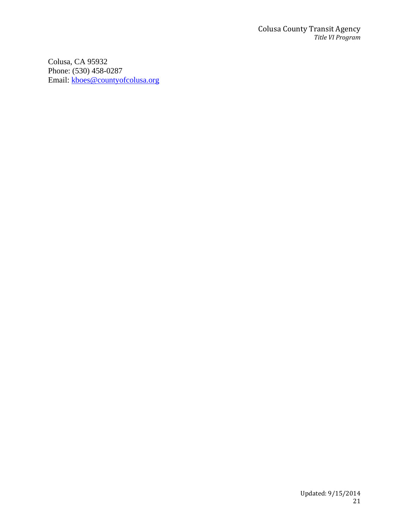Colusa, CA 95932 Phone: (530) 458-0287 Email: [kboes@countyofcolusa.org](mailto:kboes@countyofcolusa.org)